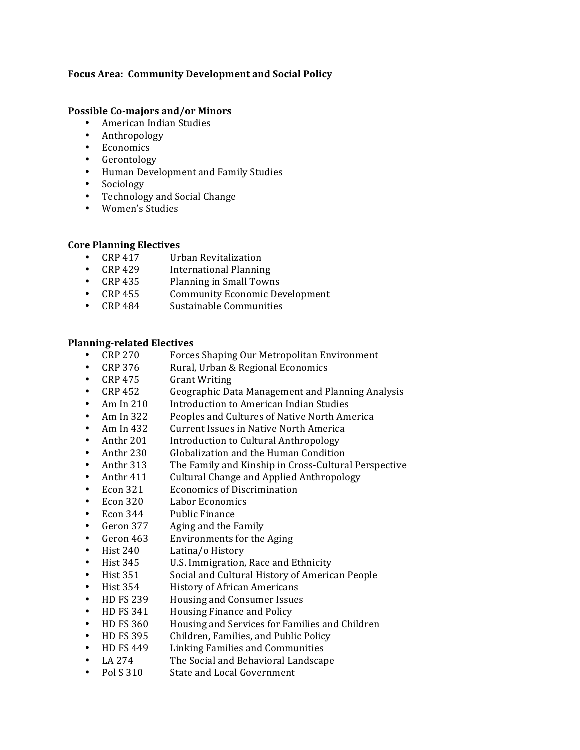# Focus Area: Community Development and Social Policy

## **Possible Co-majors and/or Minors**

- American Indian Studies
- Anthropology
- Economics
- Gerontology
- Human Development and Family Studies
- Sociology
- Technology and Social Change
- Women's Studies

# **Core Planning Electives**

- CRP 417 Urban Revitalization
- 
- CRP 429 International Planning<br>• CRP 435 Planning in Small Town
- CRP 435 Planning in Small Towns<br>• CRP 455 Community Economic De Community Economic Development
- CRP 484 Sustainable Communities

### **Planning-related Electives**

- CRP 270 Forces Shaping Our Metropolitan Environment
- CRP 376 Rural, Urban & Regional Economics
- CRP 475 Grant Writing
- CRP 452 Geographic Data Management and Planning Analysis
- Am In 210 Introduction to American Indian Studies<br>• Am In 322 Peoples and Cultures of Native North Am
- Am In 322 Peoples and Cultures of Native North America<br>• Am In 432 Current Issues in Native North America
- Current Issues in Native North America
- Anthr 201 Introduction to Cultural Anthropology
- Anthr 230 Globalization and the Human Condition<br>• Anthr 313 The Family and Kinship in Cross-Cultura
- The Family and Kinship in Cross-Cultural Perspective
- Anthr 411 Cultural Change and Applied Anthropology<br>• Econ 321 Economics of Discrimination
- Economics of Discrimination
- Econ 320 Labor Economics
- Econ 344 Public Finance
- Geron 377 Aging and the Family<br>• Geron 463 Environments for the
- Environments for the Aging
- **First 240** Latina/o History<br> **Hist 345** U.S. Immigration.
- U.S. Immigration, Race and Ethnicity
- Hist!351 Social!and!Cultural!History!of!American!People
- Hist 354 History of African Americans<br>• HD FS 239 Housing and Consumer Issues
- Housing and Consumer Issues
- HD FS 341 Housing Finance and Policy
- HD FS 360 Housing and Services for Families and Children
- HD FS 395 Children, Families, and Public Policy
- HD FS 449 Linking Families and Communities
- LA 274 The Social and Behavioral Landscape<br>• Pol S 310 State and Local Government
- State and Local Government